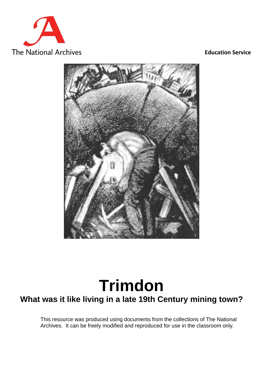

#### **Education Service**



# **Trimdon**

## **What was it like living in a late 19th Century mining town?**

This resource was produced using documents from the collections of The National Archives. It can be freely modified and reproduced for use in the classroom only.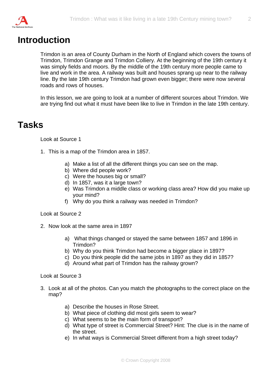

## **Introduction**

Trimdon is an area of County Durham in the North of England which covers the towns of Trimdon, Trimdon Grange and Trimdon Colliery. At the beginning of the 19th century it was simply fields and moors. By the middle of the 19th century more people came to live and work in the area. A railway was built and houses sprang up near to the railway line. By the late 19th century Trimdon had grown even bigger; there were now several roads and rows of houses.

In this lesson, we are going to look at a number of different sources about Trimdon. We are trying find out what it must have been like to live in Trimdon in the late 19th century.

#### **Tasks**

Look at Source 1

- 1. This is a map of the Trimdon area in 1857.
	- a) Make a list of all the different things you can see on the map.
	- b) Where did people work?
	- c) Were the houses big or small?
	- d) In 1857, was it a large town?
	- e) Was Trimdon a middle class or working class area? How did you make up your mind?
	- f) Why do you think a railway was needed in Trimdon?

Look at Source 2

- 2. Now look at the same area in 1897
	- a) What things changed or stayed the same between 1857 and 1896 in Trimdon?
	- b) Why do you think Trimdon had become a bigger place in 1897?
	- c) Do you think people did the same jobs in 1897 as they did in 1857?
	- d) Around what part of Trimdon has the railway grown?

Look at Source 3

- 3. Look at all of the photos. Can you match the photographs to the correct place on the map?
	- a) Describe the houses in Rose Street.
	- b) What piece of clothing did most girls seem to wear?
	- c) What seems to be the main form of transport?
	- d) What type of street is Commercial Street? Hint: The clue is in the name of the street.
	- e) In what ways is Commercial Street different from a high street today?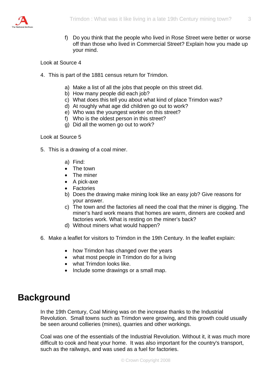

f) Do you think that the people who lived in Rose Street were better or worse off than those who lived in Commercial Street? Explain how you made up your mind.

Look at Source 4

- 4. This is part of the 1881 census return for Trimdon.
	- a) Make a list of all the jobs that people on this street did.
	- b) How many people did each job?
	- c) What does this tell you about what kind of place Trimdon was?
	- d) At roughly what age did children go out to work?
	- e) Who was the youngest worker on this street?
	- f) Who is the oldest person in this street?
	- g) Did all the women go out to work?

Look at Source 5

- 5. This is a drawing of a coal miner.
	- a) Find:
	- The town
	- The miner
	- A pick-axe
	- Factories
	- b) Does the drawing make mining look like an easy job? Give reasons for your answer.
	- c) The town and the factories all need the coal that the miner is digging. The miner's hard work means that homes are warm, dinners are cooked and factories work. What is resting on the miner's back?
	- d) Without miners what would happen?
- 6. Make a leaflet for visitors to Trimdon in the 19th Century. In the leaflet explain:
	- how Trimdon has changed over the years
	- what most people in Trimdon do for a living
	- what Trimdon looks like.
	- Include some drawings or a small map.

#### **Background**

In the 19th Century, Coal Mining was on the increase thanks to the Industrial Revolution. Small towns such as Trimdon were growing, and this growth could usually be seen around collieries (mines), quarries and other workings.

Coal was one of the essentials of the Industrial Revolution. Without it, it was much more difficult to cook and heat your home. It was also important for the country's transport, such as the railways, and was used as a fuel for factories.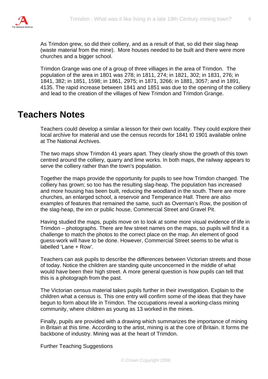

As Trimdon grew, so did their colliery, and as a result of that, so did their slag heap (waste material from the mine). More houses needed to be built and there were more churches and a bigger school.

Trimdon Grange was one of a group of three villiages in the area of Trimdon. The population of the area in 1801 was 278; in 1811, 274; in 1821, 302; in 1831, 276; in 1841, 382; in 1851, 1598; in 1861, 2975; in 1871, 3266; in 1881, 3057; and in 1891, 4135. The rapid increase between 1841 and 1851 was due to the opening of the colliery and lead to the creation of the villages of New Trimdon and Trimdon Grange.

#### **Teachers Notes**

Teachers could develop a similar a lesson for their own locality. They could explore their local archive for material and use the census records for 1841 t0 1901 available online at The National Archives.

The two maps show Trimdon 41 years apart. They clearly show the growth of this town centred around the colliery, quarry and lime works. In both maps, the railway appears to serve the colliery rather than the town's population.

Together the maps provide the opportunity for pupils to see how Trimdon changed. The colliery has grown; so too has the resulting slag-heap. The population has increased and more housing has been built, reducing the woodland in the south. There are more churches, an enlarged school, a reservoir and Temperance Hall. There are also examples of features that remained the same, such as Overman's Row, the position of the slag-heap, the inn or public house, Commercial Street and Gravel Pit.

Having studied the maps, pupils move on to look at some more visual evidence of life in Trimdon – photographs. There are few street names on the maps, so pupils will find it a challenge to match the photos to the correct place on the map. An element of good guess-work will have to be done. However, Commercial Street seems to be what is labelled 'Lane + Row'.

Teachers can ask pupils to describe the differences between Victorian streets and those of today. Notice the children are standing quite unconcerned in the middle of what would have been their high street. A more general question is how pupils can tell that this is a photograph from the past.

The Victorian census material takes pupils further in their investigation. Explain to the children what a census is. This one entry will confirm some of the ideas that they have begun to form about life in Trimdon. The occupations reveal a working-class mining community, where children as young as 13 worked in the mines.

Finally, pupils are provided with a drawing which summarizes the importance of mining in Britain at this time. According to the artist, mining is at the core of Britain. It forms the backbone of industry. Mining was at the heart of Trimdon.

Further Teaching Suggestions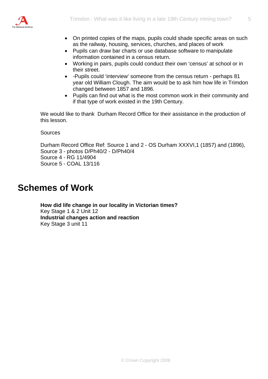

- On printed copies of the maps, pupils could shade specific areas on such as the railway, housing, services, churches, and places of work
- Pupils can draw bar charts or use database software to manipulate information contained in a census return.
- Working in pairs, pupils could conduct their own 'census' at school or in their street.
- -Pupils could 'interview' someone from the census return perhaps 81 year old William Clough. The aim would be to ask him how life in Trimdon changed between 1857 and 1896.
- Pupils can find out what is the most common work in their community and if that type of work existed in the 19th Century.

We would like to thank Durham Record Office for their assistance in the production of this lesson.

**Sources** 

Durham Record Office Ref: Source 1 and 2 - OS Durham XXXVI,1 (1857) and (1896), Source 3 - photos D/Ph40/2 - D/Ph40/4 Source 4 - RG 11/4904 Source 5 - COAL 13/116

#### **Schemes of Work**

**How did life change in our locality in Victorian times?**  Key Stage 1 & 2 Unit 12 **Industrial changes action and reaction**  Key Stage 3 unit 11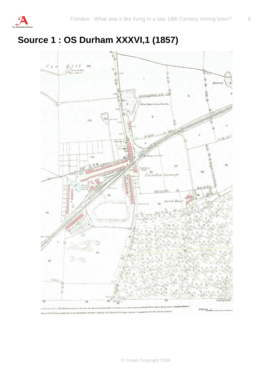

## **Source 1 : OS Durham XXXVI,1 (1857)**

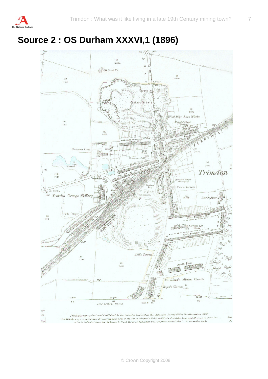

## **Source 2 : OS Durham XXXVI,1 (1896)**

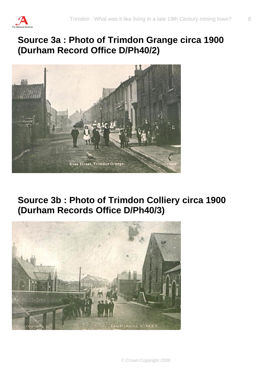

## **Source 3a : Photo of Trimdon Grange circa 1900 (Durham Record Office D/Ph40/2)**



**Source 3b : Photo of Trimdon Colliery circa 1900 (Durham Records Office D/Ph40/3)** 

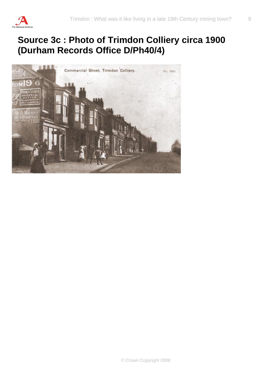

## **Source 3c : Photo of Trimdon Colliery circa 1900 (Durham Records Office D/Ph40/4)**

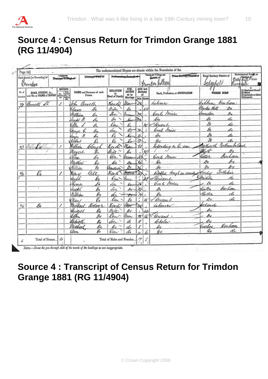

## **Source 4 : Census Return for Trimdon Grange 1881 (RG 11/4904)**

| Page 14]<br>Municipal Ward of<br>Civil Parish [or Township] of<br>Uriman |                                                |    |                                                                                                                                                  |                                     | Partie                                         |                                     |                   | The undermentioned Houses are situate within the Boundaries of the<br>Town-or-Village.com<br>Hamlet of<br>Trindon bolliery |                                                    | Urban-Banfing District of         | Rural Sanitary District of<br>seagenels | Rangolale       | Ecclesiastical Party's or<br>Dete Hill Oum                                                                                                                                                                                                                                             |
|--------------------------------------------------------------------------|------------------------------------------------|----|--------------------------------------------------------------------------------------------------------------------------------------------------|-------------------------------------|------------------------------------------------|-------------------------------------|-------------------|----------------------------------------------------------------------------------------------------------------------------|----------------------------------------------------|-----------------------------------|-----------------------------------------|-----------------|----------------------------------------------------------------------------------------------------------------------------------------------------------------------------------------------------------------------------------------------------------------------------------------|
| No. of<br>Schedu                                                         | ROAD, STREET, &c.,<br>and No. or NAME of HOUSE | ed | HOUSES<br>$\begin{tabular}{ c c } \hline $I\alpha$ & Bessel\\ Inadd \hline & Aadd \hline \\ baA & Badd \hline \\ baA & baA \end{tabular}$<br>(B) | NAME and Surname of each<br>Person  | <b>RELATION</b><br>to<br><b>Head of Family</b> | CON-<br>DITION<br>as to<br>Marriage |                   | <b>AGE</b> last<br>Birthday<br>ot.<br>Males Females                                                                        |                                                    | Rank, Profession, or CCCUPATION   | WHERE BORN                              |                 | $\fbox{ \begin{minipage}{0.9\linewidth} \begin{tabular}{ c c } \hline II & \multicolumn{1}{ c }{H} \\ \hline \hline (2) Bünd & \multicolumn{1}{ c }{Dend\cdot Dumb} \\ \hline (3) Im^L & \multicolumn{1}{ c }{H} \end{tabular} \end{minipage} }$<br>3) Imbecile or Idiot<br>4) Lunatic |
| $\frac{\gamma}{2}$                                                       | Cometts St.                                    |    |                                                                                                                                                  | <u>fotne</u><br>Bemeth              | Head                                           |                                     | JX.               |                                                                                                                            | Labourer                                           |                                   | Durham<br>ha khin                       |                 |                                                                                                                                                                                                                                                                                        |
|                                                                          |                                                |    |                                                                                                                                                  | £.<br><u>beaner</u>                 | Wife                                           | b.                                  |                   | 55                                                                                                                         |                                                    |                                   | Pantao.                                 | Gэ              |                                                                                                                                                                                                                                                                                        |
|                                                                          |                                                |    |                                                                                                                                                  | Oo<br>William                       | Son                                            | lim .                               |                   |                                                                                                                            | Coul                                               | miner                             | mnda                                    | o.              |                                                                                                                                                                                                                                                                                        |
|                                                                          |                                                |    |                                                                                                                                                  | D.<br>loebt M.                      | bo                                             |                                     |                   |                                                                                                                            | Do                                                 |                                   | do<br>S                                 | di              |                                                                                                                                                                                                                                                                                        |
|                                                                          |                                                |    |                                                                                                                                                  | Ellr.<br>D.                         | llau                                           | Ø,                                  |                   | " Conant<br>$\frac{1}{2}$                                                                                                  |                                                    |                                   | $\mathscr{S}_x$                         | do<br>to        |                                                                                                                                                                                                                                                                                        |
|                                                                          |                                                |    |                                                                                                                                                  | d.<br>Rerge                         | Son                                            | $\ell$                              | ж                 |                                                                                                                            | Coul Amier                                         |                                   | d,                                      | di              |                                                                                                                                                                                                                                                                                        |
|                                                                          |                                                |    |                                                                                                                                                  | D.<br>ател                          | De<br>Q,                                       | g,                                  | ふ                 |                                                                                                                            | $\mathcal{A}_{\theta}$<br>$\partial_{\mathcal{D}}$ |                                   | $\overline{\mathscr{E}}$                | d.              |                                                                                                                                                                                                                                                                                        |
|                                                                          |                                                |    |                                                                                                                                                  | ł.<br>kbbrst                        | Keado                                          | Max                                 |                   |                                                                                                                            |                                                    | Repending on his con-             | tartian                                 | othum to Ca     |                                                                                                                                                                                                                                                                                        |
| $v_{i}^{2}$                                                              |                                                |    |                                                                                                                                                  | <u>Ultán</u><br>dou<br>Marces<br>Ŀ. | ttite                                          |                                     |                   | 41                                                                                                                         |                                                    |                                   | Oluth-                                  | $\mathscr{S}_v$ |                                                                                                                                                                                                                                                                                        |
|                                                                          |                                                |    |                                                                                                                                                  | Uenas<br>Do                         | Von                                            | Um                                  | ůÒ.               |                                                                                                                            | Coul                                               | Money                             | lillor                                  | Gunham          |                                                                                                                                                                                                                                                                                        |
|                                                                          |                                                |    |                                                                                                                                                  | lo<br>Matthew                       | oc                                             | ô.                                  | 36                |                                                                                                                            | Do                                                 |                                   | Dо                                      | ó               |                                                                                                                                                                                                                                                                                        |
|                                                                          |                                                |    |                                                                                                                                                  | <u>filli</u> an<br>g,               | <i>Candeon</i>                                 | $\partial \! \! \! v$               |                   |                                                                                                                            | Dv                                                 |                                   | di                                      | 8-v             |                                                                                                                                                                                                                                                                                        |
| 4/4                                                                      |                                                |    |                                                                                                                                                  | Gitt<br>Clm U                       | Kead                                           | <u>hitavei</u>                      | Ii0               |                                                                                                                            |                                                    | Inabled thrugh an accedent Souley |                                         | SorReline       |                                                                                                                                                                                                                                                                                        |
|                                                                          |                                                |    |                                                                                                                                                  | farak.<br>k,                        | $\ell_{\alpha}$                                | lenn.                               |                   | $25^{\circ}$                                                                                                               | w Senaut                                           | ı                                 | 12<br>mitile                            | do              |                                                                                                                                                                                                                                                                                        |
|                                                                          |                                                |    |                                                                                                                                                  | !koma.<br>e,                        | én.                                            |                                     |                   |                                                                                                                            | Coul Amis                                          |                                   | £r                                      | di              |                                                                                                                                                                                                                                                                                        |
|                                                                          |                                                |    |                                                                                                                                                  | o.<br>!ock!                         | Son                                            | $\partial v$                        | 10                |                                                                                                                            | A                                                  |                                   | Scotte                                  | bar han.        |                                                                                                                                                                                                                                                                                        |
|                                                                          |                                                |    |                                                                                                                                                  | William<br>$\ell$                   | dn.                                            | ŵ                                   | 7u                | $\epsilon$                                                                                                                 | $\ell$                                             |                                   | Shetha                                  | di              |                                                                                                                                                                                                                                                                                        |
|                                                                          |                                                |    |                                                                                                                                                  | Ø.<br>(Han)                         | Oan                                            | Еo                                  |                   | /š                                                                                                                         | dewaut                                             |                                   | $\partial \tau$                         | di              |                                                                                                                                                                                                                                                                                        |
| $\mathscr{C}$                                                            | вю                                             | ∕  |                                                                                                                                                  | <u>bolan r</u><br>Michae            | Veað                                           | 4m                                  | 40                |                                                                                                                            | atturn                                             |                                   | reland                                  |                 |                                                                                                                                                                                                                                                                                        |
|                                                                          |                                                |    |                                                                                                                                                  | Rudell<br>$\mathscr{G}_v$           | nie                                            | os                                  |                   |                                                                                                                            |                                                    |                                   | os                                      |                 |                                                                                                                                                                                                                                                                                        |
|                                                                          |                                                |    |                                                                                                                                                  | $\mathscr{S}v$<br>blém              | lan                                            | Um                                  | $\overline{\tau}$ |                                                                                                                            | deniant.                                           |                                   | bv                                      |                 |                                                                                                                                                                                                                                                                                        |
|                                                                          |                                                |    |                                                                                                                                                  | lapiell<br>oo                       | ðar.                                           | do                                  | W                 |                                                                                                                            | beholev                                            |                                   | $\mathscr{E}_\mathscr{V}$               |                 |                                                                                                                                                                                                                                                                                        |
|                                                                          |                                                |    |                                                                                                                                                  | Michae<br>Do                        | bo                                             | do                                  | ę                 |                                                                                                                            | Do                                                 |                                   | rechn<br>Dо                             | Em hamo<br>dı   |                                                                                                                                                                                                                                                                                        |
|                                                                          |                                                |    |                                                                                                                                                  | ßь<br>amm                           | Dau                                            | di                                  |                   |                                                                                                                            |                                                    |                                   |                                         |                 |                                                                                                                                                                                                                                                                                        |
| ú                                                                        | Total of Houses                                | 4  |                                                                                                                                                  |                                     | Total of Males and Fenales                     |                                     |                   | 8                                                                                                                          |                                                    |                                   |                                         |                 |                                                                                                                                                                                                                                                                                        |

## **Source 4 : Transcript of Census Return for Trimdon Grange 1881 (RG 11/4904)**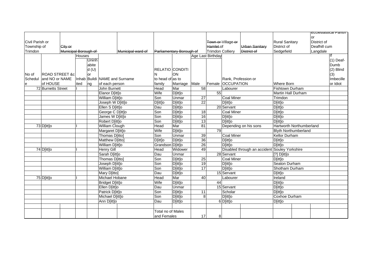|                 |                           |                                                         |                  |                  |                   |                   |                          |                       |                            |                       |                   |                                               |                             |              | Ecclesiastical Parish I |
|-----------------|---------------------------|---------------------------------------------------------|------------------|------------------|-------------------|-------------------|--------------------------|-----------------------|----------------------------|-----------------------|-------------------|-----------------------------------------------|-----------------------------|--------------|-------------------------|
|                 |                           |                                                         |                  |                  |                   |                   |                          |                       |                            |                       |                   |                                               |                             | lor          |                         |
| Civil Parish or |                           |                                                         |                  |                  |                   |                   |                          |                       |                            | Town or Village or    |                   | <b>Rural Sanitary</b>                         | District of                 |              |                         |
| Township of     |                           | City or                                                 |                  |                  |                   |                   |                          |                       |                            | Hamlet of             |                   | <b>Urban Sanitary</b>                         | District of                 | Deafhill cum |                         |
| Trimdon         |                           | Municipal Borough of                                    |                  |                  |                   | Municipal ward of | Parliamentary Borough of |                       | <b>Trimdon Colliery</b>    |                       | District of       | Sedgefield                                    | Langdale                    |              |                         |
|                 |                           |                                                         | Houses           |                  |                   |                   |                          |                       |                            | Age Last Birthday     |                   |                                               |                             |              |                         |
|                 |                           |                                                         |                  | Uninh            |                   |                   |                          |                       |                            |                       |                   |                                               |                             |              | $(1)$ Deaf-             |
|                 |                           |                                                         |                  | abite            |                   |                   |                          |                       |                            |                       |                   |                                               |                             |              | Dumb                    |
|                 |                           |                                                         |                  | d(U)             |                   |                   | RELATIO CONDITI          |                       |                            |                       |                   |                                               |                             |              | (2) Blind               |
| No of           | <b>ROAD STREET &amp;c</b> |                                                         |                  | or               |                   |                   |                          | ON                    |                            |                       |                   |                                               |                             |              | (3)                     |
|                 |                           | Schedul and NO or NAME<br>Inhab Buildi NAME and Surname |                  |                  |                   | to head of as to  |                          |                       |                            | Rank, Profession or   |                   |                                               |                             | Imbecille    |                         |
| e               | of HOUSE                  |                                                         | ited             | ng               | of each person    |                   | family                   | Marriage Male         |                            |                       | Female OCCUPATION |                                               | Where Born                  |              | or Idiot                |
|                 |                           | 72 Burnetts Street                                      |                  | John Burnett     |                   | Head              | Mar                      | 58                    |                            | Labourer              |                   | Fishtown Durham                               |                             |              |                         |
|                 |                           |                                                         |                  | Elanor D[itt]o   |                   | Wife              | D[itt]o                  |                       | 55                         |                       |                   | Martin Hall Durham                            |                             |              |                         |
|                 |                           |                                                         |                  | William D[itt]o  |                   | Son               | Unmar                    | 27                    |                            | <b>Coal Miner</b>     |                   | Trimdon                                       |                             |              |                         |
|                 |                           |                                                         |                  | Joseph W D[itt]o |                   | D[itt]o           | D[itt]o                  | $\overline{22}$       |                            | D[itt]o               |                   | D[itt]o                                       |                             |              |                         |
|                 |                           |                                                         | Ellen S D[itt]o  |                  | Dau               | D[itt]o           |                          |                       | 20 Servant                 |                       | D[itt]o           |                                               |                             |              |                         |
|                 |                           |                                                         | George C D[itt]o |                  |                   | Son               | $\overline{D}$ [itt]o    | 18                    |                            | Coal Miner            |                   | D[itt]o                                       |                             |              |                         |
|                 |                           |                                                         |                  |                  | James W D[itt]o   |                   | Son<br>Son               | D[itt]o               | 16                         |                       | D[itt]o           |                                               | D[itt]o                     |              |                         |
|                 |                           |                                                         |                  |                  | Robert D[itt]o    |                   | D[itt]o                  | 13                    | D[itt]o                    |                       |                   | D[itt]o                                       |                             |              |                         |
|                 | 73 D[itt]o                |                                                         |                  | William Clough   |                   | Head              | Mar                      | 81                    |                            | Depending on his sons |                   | Hartworth Northumberland                      |                             |              |                         |
|                 |                           |                                                         |                  |                  | Margaret D[itt]o  |                   | Wife                     | D[itt]o               |                            | 79                    |                   |                                               | <b>Blyth Northumberland</b> |              |                         |
|                 |                           |                                                         |                  |                  | Thomas D[itto]    |                   | Son                      | Unmar                 | 39                         |                       | <b>Coal Miner</b> |                                               | Kellor Durham               |              |                         |
|                 |                           |                                                         |                  |                  | Matthew D[itto]   |                   | D[itt]o                  | D[itt]o               | 36                         |                       | D[itt]o           |                                               | D[itt]o                     |              |                         |
|                 |                           |                                                         |                  |                  | William D[itt]o   |                   | Grandson D[itt]o         |                       | $\overline{26}$<br>D[itt]o |                       | D[itt]o           |                                               |                             |              |                         |
|                 | 74 D[itt]o                |                                                         |                  |                  | <b>Henry Gill</b> |                   | Head                     | Widower               | 49                         |                       |                   | Disabled through an accident Souley Yorkshire |                             |              |                         |
|                 |                           |                                                         | Sarah D[itt]o    |                  | Dau               | Unmar             |                          |                       | 28 Servant                 |                       | $[?]$ D[itt]o     |                                               |                             |              |                         |
|                 |                           |                                                         |                  |                  | Thomas D[itto]    |                   | Son                      | D[itt]o               | 25                         |                       | <b>Coal Miner</b> |                                               | D[itt]o                     |              |                         |
|                 |                           |                                                         |                  |                  | Joseph D[itt]o    |                   | Son                      | D[itt]o               | $\overline{19}$            |                       | D[itt]o           |                                               | Seaton Durham               |              |                         |
|                 |                           |                                                         |                  |                  | William D[itt]o   |                   | Son                      | D[itt]o               | 17                         |                       | D[itt]o           |                                               | Shotham Durham              |              |                         |
|                 |                           |                                                         |                  |                  | Mary D[itto]      |                   | Dau                      | D[itt]o               |                            |                       | 15 Servant        |                                               | D[itt]o                     |              |                         |
|                 | 75 D[itt]o                |                                                         |                  |                  | Michael Hobane    |                   | Head                     | Mar                   | 40                         |                       | Labourer          |                                               | Ireland                     |              |                         |
|                 |                           |                                                         |                  |                  | Bridget D[itt]o   |                   | Wife                     | D[itt]o               |                            | 44                    |                   |                                               | D[itt]o                     |              |                         |
|                 |                           |                                                         |                  |                  | Ellen D[itt]o     |                   | Dau                      | Unmar                 |                            |                       | 15 Servant        |                                               | D[itt]o                     |              |                         |
|                 |                           |                                                         |                  |                  | Patrick D[itt]o   |                   | Son                      | D[itt]o               | 11                         |                       | Scholar           |                                               | D[itt]o                     |              |                         |
|                 |                           |                                                         |                  |                  | Michael D[itt]o   |                   | Son                      | D[itt]o               | 8                          |                       | D[itt]o           |                                               | Coxhoe Durham               |              |                         |
|                 |                           |                                                         |                  |                  | Ann D[itt]o       |                   | Dau                      | $\overline{D}$ [itt]o |                            |                       | 6D[itt]o          |                                               | D[itt]o                     |              |                         |
|                 |                           |                                                         |                  |                  |                   |                   |                          |                       |                            |                       |                   |                                               |                             |              |                         |
|                 |                           |                                                         |                  |                  |                   |                   | Total no of Males        |                       |                            |                       |                   |                                               |                             |              |                         |
|                 |                           |                                                         |                  |                  | and Females       |                   | 17                       | 8                     |                            |                       |                   |                                               |                             |              |                         |